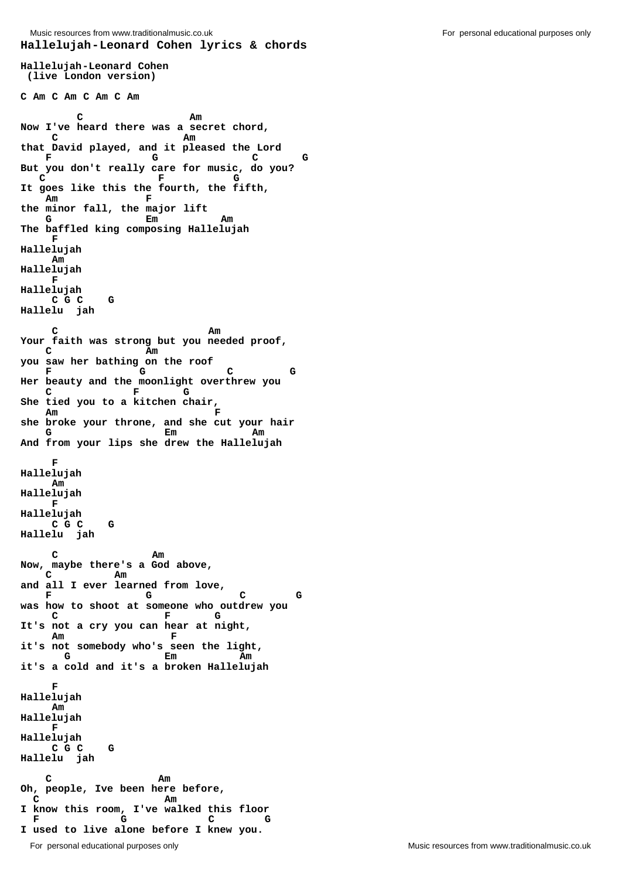**Hallelujah-Leonard Cohen lyrics & chords Hallelujah-Leonard Cohen (live London version) C Am C Am C Am C Am C** Am **Now I've heard there was a secret chord, c** Am **that David played, and it pleased the Lord F G C G But you don't really care for music, do you? C F G It goes like this the fourth, the fifth, Am F the minor fall, the major lift G Em Am The baffled king composing Hallelujah F Hallelujah Am Hallelujah F Hallelujah C G C G Hallelu jah C Am Your faith was strong but you needed proof, C Am you saw her bathing on the roof F G C G Her beauty and the moonlight overthrew you C F G She tied you to a kitchen chair, Am F she broke your throne, and she cut your hair G Em Am And from your lips she drew the Hallelujah F Hallelujah Am Hallelujah F Hallelujah C G C G Hallelu jah C** Am **Now, maybe there's a God above, C Am and all I ever learned from love, F G C G was how to shoot at someone who outdrew you C F G It's not a cry you can hear at night, a Am** F **it's not somebody who's seen the light, G** B**m** B<sub>m</sub> Am **it's a cold and it's a broken Hallelujah F Hallelujah Am Hallelujah F Hallelujah C G C G Hallelu jah C Am Oh, people, Ive been here before, C** Am **I know this room, I've walked this floor F G C G I used to live alone before I knew you.** Music resources from www.traditionalmusic.co.uk For personal educational purposes only